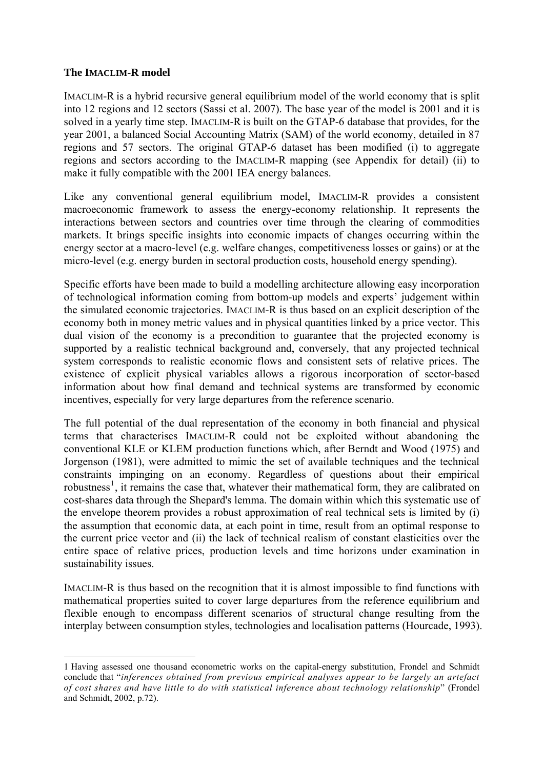## **The IMACLIM-R model**

l

IMACLIM-R is a hybrid recursive general equilibrium model of the world economy that is split into 12 regions and 12 sectors (Sassi et al. 2007). The base year of the model is 2001 and it is solved in a yearly time step. IMACLIM-R is built on the GTAP-6 database that provides, for the year 2001, a balanced Social Accounting Matrix (SAM) of the world economy, detailed in 87 regions and 57 sectors. The original GTAP-6 dataset has been modified (i) to aggregate regions and sectors according to the IMACLIM-R mapping (see Appendix for detail) (ii) to make it fully compatible with the 2001 IEA energy balances.

Like any conventional general equilibrium model, IMACLIM-R provides a consistent macroeconomic framework to assess the energy-economy relationship. It represents the interactions between sectors and countries over time through the clearing of commodities markets. It brings specific insights into economic impacts of changes occurring within the energy sector at a macro-level (e.g. welfare changes, competitiveness losses or gains) or at the micro-level (e.g. energy burden in sectoral production costs, household energy spending).

Specific efforts have been made to build a modelling architecture allowing easy incorporation of technological information coming from bottom-up models and experts' judgement within the simulated economic trajectories. IMACLIM-R is thus based on an explicit description of the economy both in money metric values and in physical quantities linked by a price vector. This dual vision of the economy is a precondition to guarantee that the projected economy is supported by a realistic technical background and, conversely, that any projected technical system corresponds to realistic economic flows and consistent sets of relative prices. The existence of explicit physical variables allows a rigorous incorporation of sector-based information about how final demand and technical systems are transformed by economic incentives, especially for very large departures from the reference scenario.

The full potential of the dual representation of the economy in both financial and physical terms that characterises IMACLIM-R could not be exploited without abandoning the conventional KLE or KLEM production functions which, after Berndt and Wood (1975) and Jorgenson (1981), were admitted to mimic the set of available techniques and the technical constraints impinging on an economy. Regardless of questions about their empirical robustness<sup>[1](#page-0-0)</sup>, it remains the case that, whatever their mathematical form, they are calibrated on cost-shares data through the Shepard's lemma. The domain within which this systematic use of the envelope theorem provides a robust approximation of real technical sets is limited by (i) the assumption that economic data, at each point in time, result from an optimal response to the current price vector and (ii) the lack of technical realism of constant elasticities over the entire space of relative prices, production levels and time horizons under examination in sustainability issues.

IMACLIM-R is thus based on the recognition that it is almost impossible to find functions with mathematical properties suited to cover large departures from the reference equilibrium and flexible enough to encompass different scenarios of structural change resulting from the interplay between consumption styles, technologies and localisation patterns (Hourcade, 1993).

<span id="page-0-0"></span><sup>1</sup> Having assessed one thousand econometric works on the capital-energy substitution, Frondel and Schmidt conclude that "*inferences obtained from previous empirical analyses appear to be largely an artefact of cost shares and have little to do with statistical inference about technology relationship*" (Frondel and Schmidt, 2002, p.72).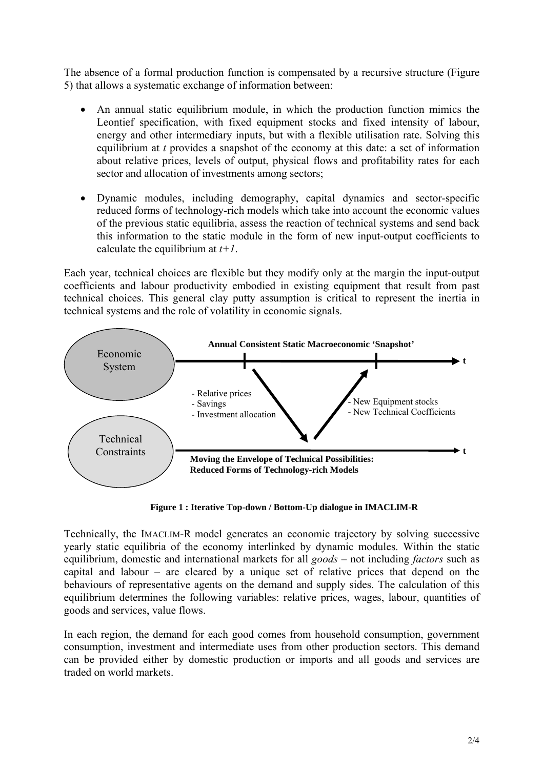The absence of a formal production function is compensated by a recursive structure (Figure 5) that allows a systematic exchange of information between:

- An annual static equilibrium module, in which the production function mimics the Leontief specification, with fixed equipment stocks and fixed intensity of labour, energy and other intermediary inputs, but with a flexible utilisation rate. Solving this equilibrium at *t* provides a snapshot of the economy at this date: a set of information about relative prices, levels of output, physical flows and profitability rates for each sector and allocation of investments among sectors;
- Dynamic modules, including demography, capital dynamics and sector-specific reduced forms of technology-rich models which take into account the economic values of the previous static equilibria, assess the reaction of technical systems and send back this information to the static module in the form of new input-output coefficients to calculate the equilibrium at *t+1*.

Each year, technical choices are flexible but they modify only at the margin the input-output coefficients and labour productivity embodied in existing equipment that result from past technical choices. This general clay putty assumption is critical to represent the inertia in technical systems and the role of volatility in economic signals.



**Figure 1 : Iterative Top-down / Bottom-Up dialogue in IMACLIM-R**

Technically, the IMACLIM-R model generates an economic trajectory by solving successive yearly static equilibria of the economy interlinked by dynamic modules. Within the static equilibrium, domestic and international markets for all *goods* – not including *factors* such as capital and labour – are cleared by a unique set of relative prices that depend on the behaviours of representative agents on the demand and supply sides. The calculation of this equilibrium determines the following variables: relative prices, wages, labour, quantities of goods and services, value flows.

In each region, the demand for each good comes from household consumption, government consumption, investment and intermediate uses from other production sectors. This demand can be provided either by domestic production or imports and all goods and services are traded on world markets.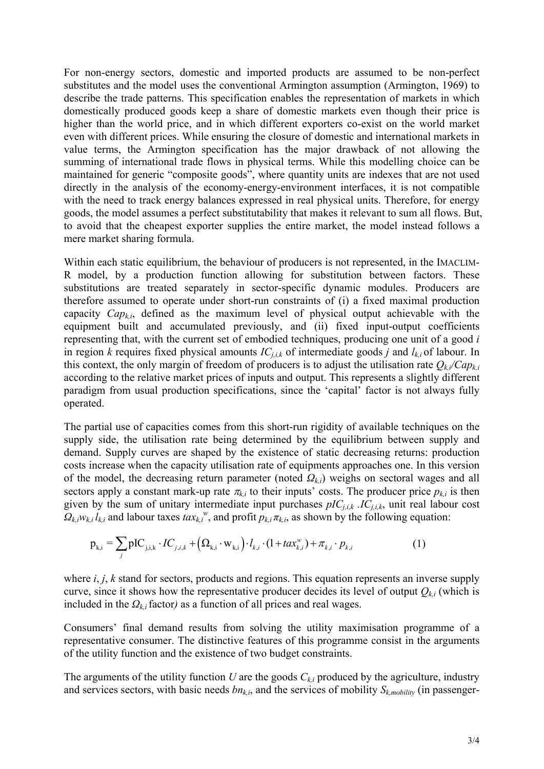For non-energy sectors, domestic and imported products are assumed to be non-perfect substitutes and the model uses the conventional Armington assumption (Armington, 1969) to describe the trade patterns. This specification enables the representation of markets in which domestically produced goods keep a share of domestic markets even though their price is higher than the world price, and in which different exporters co-exist on the world market even with different prices. While ensuring the closure of domestic and international markets in value terms, the Armington specification has the major drawback of not allowing the summing of international trade flows in physical terms. While this modelling choice can be maintained for generic "composite goods", where quantity units are indexes that are not used directly in the analysis of the economy-energy-environment interfaces, it is not compatible with the need to track energy balances expressed in real physical units. Therefore, for energy goods, the model assumes a perfect substitutability that makes it relevant to sum all flows. But, to avoid that the cheapest exporter supplies the entire market, the model instead follows a mere market sharing formula.

Within each static equilibrium, the behaviour of producers is not represented, in the IMACLIM-R model, by a production function allowing for substitution between factors. These substitutions are treated separately in sector-specific dynamic modules. Producers are therefore assumed to operate under short-run constraints of (i) a fixed maximal production capacity *Capk,i*, defined as the maximum level of physical output achievable with the equipment built and accumulated previously, and (ii) fixed input-output coefficients representing that, with the current set of embodied techniques, producing one unit of a good *i* in region *k* requires fixed physical amounts  $IC_{j,i,k}$  of intermediate goods *j* and  $l_{k,i}$  of labour. In this context, the only margin of freedom of producers is to adjust the utilisation rate  $Q_{k,i}/Cap_{k,i}$ according to the relative market prices of inputs and output. This represents a slightly different paradigm from usual production specifications, since the 'capital' factor is not always fully operated.

The partial use of capacities comes from this short-run rigidity of available techniques on the supply side, the utilisation rate being determined by the equilibrium between supply and demand. Supply curves are shaped by the existence of static decreasing returns: production costs increase when the capacity utilisation rate of equipments approaches one. In this version of the model, the decreasing return parameter (noted *Ωk,i*) weighs on sectoral wages and all sectors apply a constant mark-up rate  $\pi_{k,i}$  to their inputs' costs. The producer price  $p_{k,i}$  is then given by the sum of unitary intermediate input purchases  $pIC_{j,i,k}$ .  $IC_{j,i,k}$ , unit real labour cost  $Q_{k,iW_{k,i}l_{k,i}}$  and labour taxes  $tax_{k,i}^w$ , and profit  $p_{k,i}\pi_{k,i}$ , as shown by the following equation:

$$
p_{k,i} = \sum_{j} pIC_{j,i,k} \cdot IC_{j,i,k} + ( \Omega_{k,i} \cdot w_{k,i} ) \cdot l_{k,i} \cdot (1 + \text{tax}_{k,i}^{w}) + \pi_{k,i} \cdot p_{k,i}
$$
 (1)

where *i*, *j*, *k* stand for sectors, products and regions. This equation represents an inverse supply curve, since it shows how the representative producer decides its level of output  $Q_{k,i}$  (which is included in the  $Q_{ki}$  factor) as a function of all prices and real wages.

Consumers' final demand results from solving the utility maximisation programme of a representative consumer. The distinctive features of this programme consist in the arguments of the utility function and the existence of two budget constraints.

The arguments of the utility function  $U$  are the goods  $C_{k,i}$  produced by the agriculture, industry and services sectors, with basic needs  $bn_{k,i}$ , and the services of mobility  $S_{k,mobility}$  (in passenger